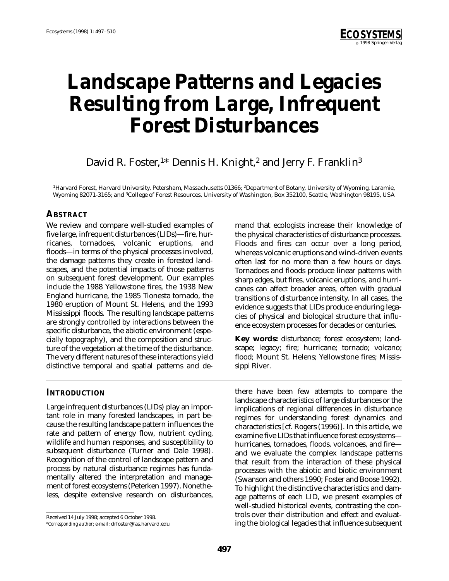# **Landscape Patterns and Legacies Resulting from Large, Infrequent Forest Disturbances**

# David R. Foster,<sup>1\*</sup> Dennis H. Knight,<sup>2</sup> and Jerry F. Franklin<sup>3</sup>

*1Harvard Forest, Harvard University, Petersham, Massachusetts 01366; 2Department of Botany, University of Wyoming, Laramie, Wyoming 82071-3165; and 3College of Forest Resources, University of Washington, Box 352100, Seattle, Washington 98195, USA*

#### **ABSTRACT**

We review and compare well-studied examples of five large, infrequent disturbances (LIDs)—fire, hurricanes, tornadoes, volcanic eruptions, and floods—in terms of the physical processes involved, the damage patterns they create in forested landscapes, and the potential impacts of those patterns on subsequent forest development. Our examples include the 1988 Yellowstone fires, the 1938 New England hurricane, the 1985 Tionesta tornado, the 1980 eruption of Mount St. Helens, and the 1993 Mississippi floods. The resulting landscape patterns are strongly controlled by interactions between the specific disturbance, the abiotic environment (especially topography), and the composition and structure of the vegetation at the time of the disturbance. The very different natures of these interactions yield distinctive temporal and spatial patterns and de-

#### **INTRODUCTION**

Large infrequent disturbances (LIDs) play an important role in many forested landscapes, in part because the resulting landscape pattern influences the rate and pattern of energy flow, nutrient cycling, wildlife and human responses, and susceptibility to subsequent disturbance (Turner and Dale 1998). Recognition of the control of landscape pattern and process by natural disturbance regimes has fundamentally altered the interpretation and management of forest ecosystems (Peterken 1997). Nonetheless, despite extensive research on disturbances, mand that ecologists increase their knowledge of the physical characteristics of disturbance processes. Floods and fires can occur over a long period, whereas volcanic eruptions and wind-driven events often last for no more than a few hours or days. Tornadoes and floods produce linear patterns with sharp edges, but fires, volcanic eruptions, and hurricanes can affect broader areas, often with gradual transitions of disturbance intensity. In all cases, the evidence suggests that LIDs produce enduring legacies of physical and biological structure that influence ecosystem processes for decades or centuries.

**Key words:** disturbance; forest ecosystem; landscape; legacy; fire; hurricane; tornado; volcano; flood; Mount St. Helens; Yellowstone fires; Mississippi River.

there have been few attempts to compare the landscape characteristics of large disturbances or the implications of regional differences in disturbance regimes for understanding forest dynamics and characteristics [cf. Rogers (1996)]. In this article, we examine five LIDs that influence forest ecosystems hurricanes, tornadoes, floods, volcanoes, and fire and we evaluate the complex landscape patterns that result from the interaction of these physical processes with the abiotic and biotic environment (Swanson and others 1990; Foster and Boose 1992). To highlight the distinctive characteristics and damage patterns of each LID, we present examples of well-studied historical events, contrasting the controls over their distribution and effect and evaluat-Received 14 July 1998; accepted 6 October 1998.<br>Corresponding author; e-mail: drfoster@fas.harvard.edu ing the biological legacies that influence subsequent \*

*<sup>\*</sup>Corresponding author; e-mail:* drfoster@fas.harvard.edu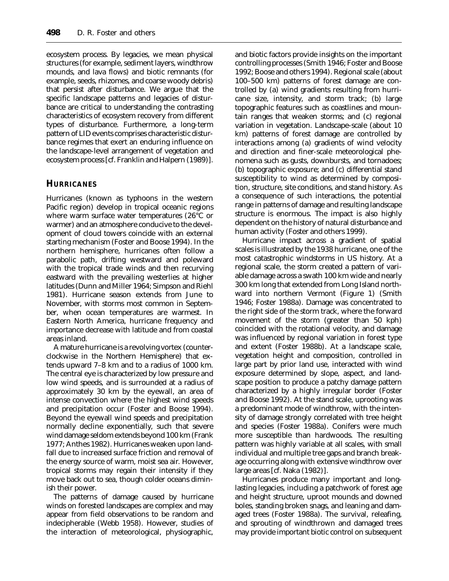ecosystem process. By legacies, we mean physical structures (for example, sediment layers, windthrow mounds, and lava flows) and biotic remnants (for example, seeds, rhizomes, and coarse woody debris) that persist after disturbance. We argue that the specific landscape patterns and legacies of disturbance are critical to understanding the contrasting characteristics of ecosystem recovery from different types of disturbance. Furthermore, a long-term pattern of LID events comprises characteristic disturbance regimes that exert an enduring influence on the landscape-level arrangement of vegetation and ecosystem process [cf. Franklin and Halpern (1989)].

#### **HURRICANES**

Hurricanes (known as typhoons in the western Pacific region) develop in tropical oceanic regions where warm surface water temperatures (26°C or warmer) and an atmosphere conducive to the development of cloud towers coincide with an external starting mechanism (Foster and Boose 1994). In the northern hemisphere, hurricanes often follow a parabolic path, drifting westward and poleward with the tropical trade winds and then recurving eastward with the prevailing westerlies at higher latitudes (Dunn and Miller 1964; Simpson and Riehl 1981). Hurricane season extends from June to November, with storms most common in September, when ocean temperatures are warmest. In Eastern North America, hurricane frequency and importance decrease with latitude and from coastal areas inland.

A mature hurricane is a revolving vortex (counterclockwise in the Northern Hemisphere) that extends upward 7–8 km and to a radius of 1000 km. The central eye is characterized by low pressure and low wind speeds, and is surrounded at a radius of approximately 30 km by the eyewall, an area of intense convection where the highest wind speeds and precipitation occur (Foster and Boose 1994). Beyond the eyewall wind speeds and precipitation normally decline exponentially, such that severe wind damage seldom extends beyond 100 km (Frank 1977; Anthes 1982). Hurricanes weaken upon landfall due to increased surface friction and removal of the energy source of warm, moist sea air. However, tropical storms may regain their intensity if they move back out to sea, though colder oceans diminish their power.

The patterns of damage caused by hurricane winds on forested landscapes are complex and may appear from field observations to be random and indecipherable (Webb 1958). However, studies of the interaction of meteorological, physiographic,

and biotic factors provide insights on the important controlling processes (Smith 1946; Foster and Boose 1992; Boose and others 1994). Regional scale (about 100–500 km) patterns of forest damage are controlled by (a) wind gradients resulting from hurricane size, intensity, and storm track; (b) large topographic features such as coastlines and mountain ranges that weaken storms; and (c) regional variation in vegetation. Landscape-scale (about 10 km) patterns of forest damage are controlled by interactions among (a) gradients of wind velocity and direction and finer-scale meteorological phenomena such as gusts, downbursts, and tornadoes; (b) topographic exposure; and (c) differential stand susceptibility to wind as determined by composition, structure, site conditions, and stand history. As a consequence of such interactions, the potential range in patterns of damage and resulting landscape structure is enormous. The impact is also highly dependent on the history of natural disturbance and human activity (Foster and others 1999).

Hurricane impact across a gradient of spatial scales is illustrated by the 1938 hurricane, one of the most catastrophic windstorms in US history. At a regional scale, the storm created a pattern of variable damage across a swath 100 km wide and nearly 300 km long that extended from Long Island northward into northern Vermont (Figure 1) (Smith 1946; Foster 1988a). Damage was concentrated to the right side of the storm track, where the forward movement of the storm (greater than 50 kph) coincided with the rotational velocity, and damage was influenced by regional variation in forest type and extent (Foster 1988b). At a landscape scale, vegetation height and composition, controlled in large part by prior land use, interacted with wind exposure determined by slope, aspect, and landscape position to produce a patchy damage pattern characterized by a highly irregular border (Foster and Boose 1992). At the stand scale, uprooting was a predominant mode of windthrow, with the intensity of damage strongly correlated with tree height and species (Foster 1988a). Conifers were much more susceptible than hardwoods. The resulting pattern was highly variable at all scales, with small individual and multiple tree gaps and branch breakage occurring along with extensive windthrow over large areas [cf. Naka (1982)].

Hurricanes produce many important and longlasting legacies, including a patchwork of forest age and height structure, uproot mounds and downed boles, standing broken snags, and leaning and damaged trees (Foster 1988a). The survival, releafing, and sprouting of windthrown and damaged trees may provide important biotic control on subsequent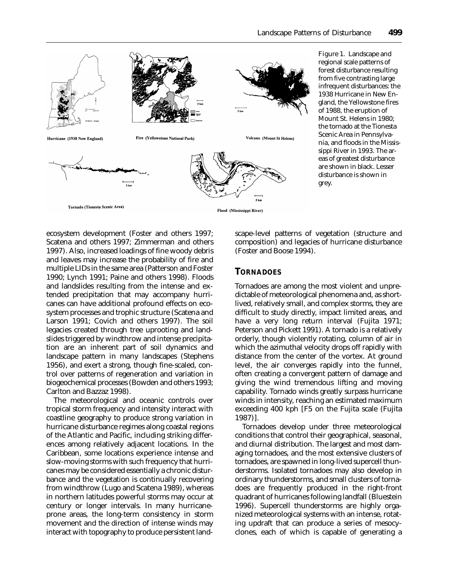

Figure 1. Landscape and regional scale patterns of forest disturbance resulting from five contrasting large infrequent disturbances: the 1938 Hurricane in New England, the Yellowstone fires of 1988, the eruption of Mount St. Helens in 1980; the tornado at the Tionesta Scenic Area in Pennsylvania, and floods in the Mississippi River in 1993. The areas of greatest disturbance are shown in black. Lesser disturbance is shown in grey.

ecosystem development (Foster and others 1997; Scatena and others 1997; Zimmerman and others 1997). Also, increased loadings of fine woody debris and leaves may increase the probability of fire and multiple LIDs in the same area (Patterson and Foster 1990; Lynch 1991; Paine and others 1998). Floods and landslides resulting from the intense and extended precipitation that may accompany hurricanes can have additional profound effects on ecosystem processes and trophic structure (Scatena and Larson 1991; Covich and others 1997). The soil legacies created through tree uprooting and landslides triggered by windthrow and intense precipitation are an inherent part of soil dynamics and landscape pattern in many landscapes (Stephens 1956), and exert a strong, though fine-scaled, control over patterns of regeneration and variation in biogeochemical processes (Bowden and others 1993; Carlton and Bazzaz 1998).

The meteorological and oceanic controls over tropical storm frequency and intensity interact with coastline geography to produce strong variation in hurricane disturbance regimes along coastal regions of the Atlantic and Pacific, including striking differences among relatively adjacent locations. In the Caribbean, some locations experience intense and slow-moving storms with such frequency that hurricanes may be considered essentially a chronic disturbance and the vegetation is continually recovering from windthrow (Lugo and Scatena 1989), whereas in northern latitudes powerful storms may occur at century or longer intervals. In many hurricaneprone areas, the long-term consistency in storm movement and the direction of intense winds may interact with topography to produce persistent landscape-level patterns of vegetation (structure and composition) and legacies of hurricane disturbance (Foster and Boose 1994).

#### **TORNADOES**

Tornadoes are among the most violent and unpredictable of meteorological phenomena and, as shortlived, relatively small, and complex storms, they are difficult to study directly, impact limited areas, and have a very long return interval (Fujita 1971; Peterson and Pickett 1991). A tornado is a relatively orderly, though violently rotating, column of air in which the azimuthal velocity drops off rapidly with distance from the center of the vortex. At ground level, the air converges rapidly into the funnel, often creating a convergent pattern of damage and giving the wind tremendous lifting and moving capability. Tornado winds greatly surpass hurricane winds in intensity, reaching an estimated maximum exceeding 400 kph [F5 on the Fujita scale (Fujita 1987)].

Tornadoes develop under three meteorological conditions that control their geographical, seasonal, and diurnal distribution. The largest and most damaging tornadoes, and the most extensive clusters of tornadoes, are spawned in long-lived supercell thunderstorms. Isolated tornadoes may also develop in ordinary thunderstorms, and small clusters of tornadoes are frequently produced in the right-front quadrant of hurricanes following landfall (Bluestein 1996). Supercell thunderstorms are highly organized meteorological systems with an intense, rotating updraft that can produce a series of mesocyclones, each of which is capable of generating a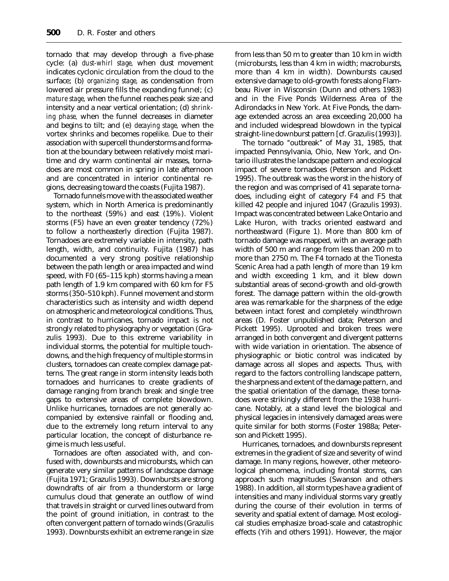tornado that may develop through a five-phase cycle: (a) *dust-whirl stage,* when dust movement indicates cyclonic circulation from the cloud to the surface; (b) *organizing stage,* as condensation from lowered air pressure fills the expanding funnel; (c) *mature stage,* when the funnel reaches peak size and intensity and a near vertical orientation; (d) *shrinking phase,* when the funnel decreases in diameter and begins to tilt; and (e) *decaying stage,* when the vortex shrinks and becomes ropelike. Due to their association with supercell thunderstorms and formation at the boundary between relatively moist maritime and dry warm continental air masses, tornadoes are most common in spring in late afternoon and are concentrated in interior continental regions, decreasing toward the coasts (Fujita 1987).

Tornado funnels move with the associated weather system, which in North America is predominantly to the northeast (59%) and east (19%). Violent storms (F5) have an even greater tendency (72%) to follow a northeasterly direction (Fujita 1987). Tornadoes are extremely variable in intensity, path length, width, and continuity. Fujita (1987) has documented a very strong positive relationship between the path length or area impacted and wind speed, with F0 (65–115 kph) storms having a mean path length of 1.9 km compared with 60 km for F5 storms (350–510 kph). Funnel movement and storm characteristics such as intensity and width depend on atmospheric and meteorological conditions. Thus, in contrast to hurricanes, tornado impact is not strongly related to physiography or vegetation (Grazulis 1993). Due to this extreme variability in individual storms, the potential for multiple touchdowns, and the high frequency of multiple storms in clusters, tornadoes can create complex damage patterns. The great range in storm intensity leads both tornadoes and hurricanes to create gradients of damage ranging from branch break and single tree gaps to extensive areas of complete blowdown. Unlike hurricanes, tornadoes are not generally accompanied by extensive rainfall or flooding and, due to the extremely long return interval to any particular location, the concept of disturbance regime is much less useful.

Tornadoes are often associated with, and confused with, downbursts and microbursts, which can generate very similar patterns of landscape damage (Fujita 1971; Grazulis 1993). Downbursts are strong downdrafts of air from a thunderstorm or large cumulus cloud that generate an outflow of wind that travels in straight or curved lines outward from the point of ground initiation, in contrast to the often convergent pattern of tornado winds (Grazulis 1993). Downbursts exhibit an extreme range in size

from less than 50 m to greater than 10 km in width (microbursts, less than 4 km in width; macrobursts, more than 4 km in width). Downbursts caused extensive damage to old-growth forests along Flambeau River in Wisconsin (Dunn and others 1983) and in the Five Ponds Wilderness Area of the Adirondacks in New York. At Five Ponds, the damage extended across an area exceeding 20,000 ha and included widespread blowdown in the typical straight-line downburst pattern [cf. Grazulis (1993)].

The tornado "outbreak" of May 31, 1985, that impacted Pennsylvania, Ohio, New York, and Ontario illustrates the landscape pattern and ecological impact of severe tornadoes (Peterson and Pickett 1995). The outbreak was the worst in the history of the region and was comprised of 41 separate tornadoes, including eight of category F4 and F5 that killed 42 people and injured 1047 (Grazulis 1993). Impact was concentrated between Lake Ontario and Lake Huron, with tracks oriented eastward and northeastward (Figure 1). More than 800 km of tornado damage was mapped, with an average path width of 500 m and range from less than 200 m to more than 2750 m. The F4 tornado at the Tionesta Scenic Area had a path length of more than 19 km and width exceeding 1 km, and it blew down substantial areas of second-growth and old-growth forest. The damage pattern within the old-growth area was remarkable for the sharpness of the edge between intact forest and completely windthrown areas (D. Foster unpublished data; Peterson and Pickett 1995). Uprooted and broken trees were arranged in both convergent and divergent patterns with wide variation in orientation. The absence of physiographic or biotic control was indicated by damage across all slopes and aspects. Thus, with regard to the factors controlling landscape pattern, the sharpness and extent of the damage pattern, and the spatial orientation of the damage, these tornadoes were strikingly different from the 1938 hurricane. Notably, at a stand level the biological and physical legacies in intensively damaged areas were quite similar for both storms (Foster 1988a; Peterson and Pickett 1995).

Hurricanes, tornadoes, and downbursts represent extremes in the gradient of size and severity of wind damage. In many regions, however, other meteorological phenomena, including frontal storms, can approach such magnitudes (Swanson and others 1988). In addition, all storm types have a gradient of intensities and many individual storms vary greatly during the course of their evolution in terms of severity and spatial extent of damage. Most ecological studies emphasize broad-scale and catastrophic effects (Yih and others 1991). However, the major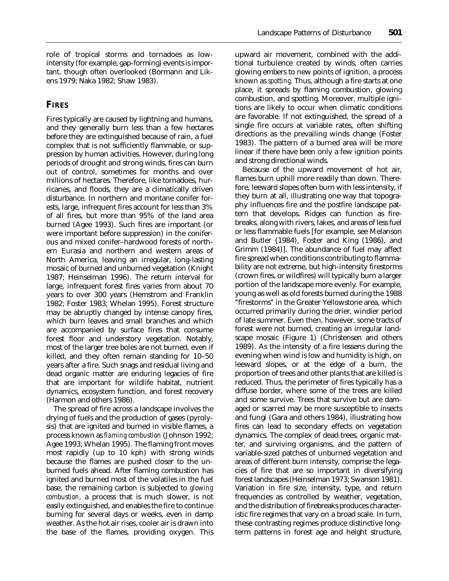role of tropical storms and tornadoes as lowintensity (for example, gap-forming) events is important, though often overlooked (Bormann and Likens 1979; Naka 1982; Shaw 1983).

## **FIRES**

Fires typically are caused by lightning and humans, and they generally burn less than a few hectares before they are extinguished because of rain, a fuel complex that is not sufficiently flammable, or suppression by human activities. However, during long periods of drought and strong winds, fires can burn out of control, sometimes for months and over millions of hectares. Therefore, like tornadoes, hurricanes, and floods, they are a climatically driven disturbance. In northern and montane conifer forests, large, infrequent fires account for less than 3% of all fires, but more than 95% of the land area burned (Agee 1993). Such fires are important (or were important before suppression) in the coniferous and mixed conifer–hardwood forests of northern Eurasia and northern and western areas of North America, leaving an irregular, long-lasting mosaic of burned and unburned vegetation (Knight 1987; Heinselman 1996). The return interval for large, infrequent forest fires varies from about 70 years to over 300 years (Hemstrom and Franklin 1982; Foster 1983; Whelan 1995). Forest structure may be abruptly changed by intense canopy fires, which burn leaves and small branches and which are accompanied by surface fires that consume forest floor and understory vegetation. Notably, most of the larger tree boles are not burned, even if killed, and they often remain standing for 10–50 years after a fire. Such snags and residual living and dead organic matter are enduring legacies of fire that are important for wildlife habitat, nutrient dynamics, ecosystem function, and forest recovery (Harmon and others 1986).

The spread of fire across a landscape involves the drying of fuels and the production of gases (pyrolysis) that are ignited and burned in visible flames, a process known as *flaming combustion* (Johnson 1992; Agee 1993; Whelan 1995). The flaming front moves most rapidly (up to 10 kph) with strong winds because the flames are pushed closer to the unburned fuels ahead. After flaming combustion has ignited and burned most of the volatiles in the fuel base, the remaining carbon is subjected to *glowing combustion,* a process that is much slower, is not easily extinguished, and enables the fire to continue burning for several days or weeks, even in damp weather. As the hot air rises, cooler air is drawn into the base of the flames, providing oxygen. This

upward air movement, combined with the additional turbulence created by winds, often carries glowing embers to new points of ignition, a process known as *spotting.* Thus, although a fire starts at one place, it spreads by flaming combustion, glowing combustion, and spotting. Moreover, multiple ignitions are likely to occur when climatic conditions are favorable. If not extinguished, the spread of a single fire occurs at variable rates, often shifting directions as the prevailing winds change (Foster 1983). The pattern of a burned area will be more linear if there have been only a few ignition points and strong directional winds.

Because of the upward movement of hot air, flames burn uphill more readily than down. Therefore, leeward slopes often burn with less intensity, if they burn at all, illustrating one way that topography influences fire and the postfire landscape pattern that develops. Ridges can function as firebreaks, along with rivers, lakes, and areas of less fuel or less flammable fuels [for example, see Melanson and Butler (1984), Foster and King (1986), and Grimm (1984)]. The abundance of fuel may affect fire spread when conditions contributing to flammability are not extreme, but high-intensity firestorms (crown fires, or wildfires) will typically burn a larger portion of the landscape more evenly. For example, young as well as old forests burned during the 1988 ''firestorms'' in the Greater Yellowstone area, which occurred primarily during the drier, windier period of late summer. Even then, however, some tracts of forest were not burned, creating an irregular landscape mosaic (Figure 1) (Christensen and others 1989). As the intensity of a fire lessens during the evening when wind is low and humidity is high, on leeward slopes, or at the edge of a burn, the proportion of trees and other plants that are killed is reduced. Thus, the perimeter of fires typically has a diffuse border, where some of the trees are killed and some survive. Trees that survive but are damaged or scarred may be more susceptible to insects and fungi (Gara and others 1984), illustrating how fires can lead to secondary effects on vegetation dynamics. The complex of dead trees, organic matter, and surviving organisms, and the pattern of variable-sized patches of unburned vegetation and areas of different burn intensity, comprise the legacies of fire that are so important in diversifying forest landscapes (Heinselman 1973; Swanson 1981). Variation in fire size, intensity, type, and return frequencies as controlled by weather, vegetation, and the distribution of firebreaks produces characteristic fire regimes that vary on a broad scale. In turn, these contrasting regimes produce distinctive longterm patterns in forest age and height structure,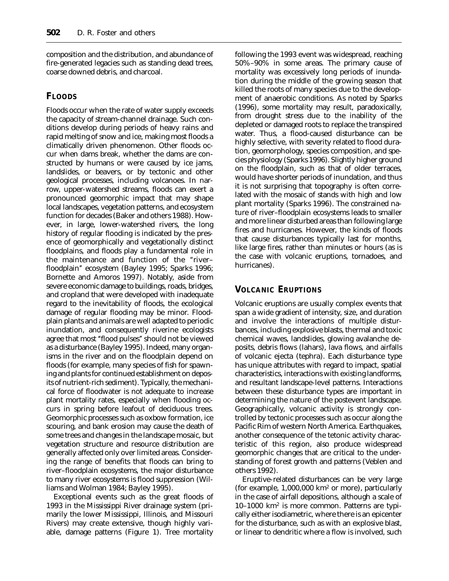composition and the distribution, and abundance of fire-generated legacies such as standing dead trees, coarse downed debris, and charcoal.

### **FLOODS**

Floods occur when the rate of water supply exceeds the capacity of stream-channel drainage. Such conditions develop during periods of heavy rains and rapid melting of snow and ice, making most floods a climatically driven phenomenon. Other floods occur when dams break, whether the dams are constructed by humans or were caused by ice jams, landslides, or beavers, or by tectonic and other geological processes, including volcanoes. In narrow, upper-watershed streams, floods can exert a pronounced geomorphic impact that may shape local landscapes, vegetation patterns, and ecosystem function for decades (Baker and others 1988). However, in large, lower-watershed rivers, the long history of regular flooding is indicated by the presence of geomorphically and vegetationally distinct floodplains, and floods play a fundamental role in the maintenance and function of the "riverfloodplain'' ecosystem (Bayley 1995; Sparks 1996; Bornette and Amoros 1997). Notably, aside from severe economic damage to buildings, roads, bridges, and cropland that were developed with inadequate regard to the inevitability of floods, the ecological damage of regular flooding may be minor. Floodplain plants and animals are well adapted to periodic inundation, and consequently riverine ecologists agree that most "flood pulses" should not be viewed as a disturbance (Bayley 1995). Indeed, many organisms in the river and on the floodplain depend on floods (for example, many species of fish for spawning and plants for continued establishment on deposits of nutrient-rich sediment). Typically, the mechanical force of floodwater is not adequate to increase plant mortality rates, especially when flooding occurs in spring before leafout of deciduous trees. Geomorphic processes such as oxbow formation, ice scouring, and bank erosion may cause the death of some trees and changes in the landscape mosaic, but vegetation structure and resource distribution are generally affected only over limited areas. Considering the range of benefits that floods can bring to river–floodplain ecosystems, the major disturbance to many river ecosystems is flood suppression (Williams and Wolman 1984; Bayley 1995).

Exceptional events such as the great floods of 1993 in the Mississippi River drainage system (primarily the lower Mississippi, Illinois, and Missouri Rivers) may create extensive, though highly variable, damage patterns (Figure 1). Tree mortality following the 1993 event was widespread, reaching 50%–90% in some areas. The primary cause of mortality was excessively long periods of inundation during the middle of the growing season that killed the roots of many species due to the development of anaerobic conditions. As noted by Sparks (1996), some mortality may result, paradoxically, from drought stress due to the inability of the depleted or damaged roots to replace the transpired water. Thus, a flood-caused disturbance can be highly selective, with severity related to flood duration, geomorphology, species composition, and species physiology (Sparks 1996). Slightly higher ground on the floodplain, such as that of older terraces, would have shorter periods of inundation, and thus it is not surprising that topography is often correlated with the mosaic of stands with high and low plant mortality (Sparks 1996). The constrained nature of river–floodplain ecosystems leads to smaller and more linear disturbed areas than following large fires and hurricanes. However, the kinds of floods that cause disturbances typically last for months, like large fires, rather than minutes or hours (as is the case with volcanic eruptions, tornadoes, and hurricanes).

#### **VOLCANIC ERUPTIONS**

Volcanic eruptions are usually complex events that span a wide gradient of intensity, size, and duration and involve the interactions of multiple disturbances, including explosive blasts, thermal and toxic chemical waves, landslides, glowing avalanche deposits, debris flows (lahars), lava flows, and airfalls of volcanic ejecta (tephra). Each disturbance type has unique attributes with regard to impact, spatial characteristics, interactions with existing landforms, and resultant landscape-level patterns. Interactions between these disturbance types are important in determining the nature of the postevent landscape. Geographically, volcanic activity is strongly controlled by tectonic processes such as occur along the Pacific Rim of western North America. Earthquakes, another consequence of the tetonic activity characteristic of this region, also produce widespread geomorphic changes that are critical to the understanding of forest growth and patterns (Veblen and others 1992).

Eruptive-related disturbances can be very large (for example, 1,000,000 km2 or more), particularly in the case of airfall depositions, although a scale of 10–1000 km2 is more common. Patterns are typically either isodiametric, where there is an epicenter for the disturbance, such as with an explosive blast, or linear to dendritic where a flow is involved, such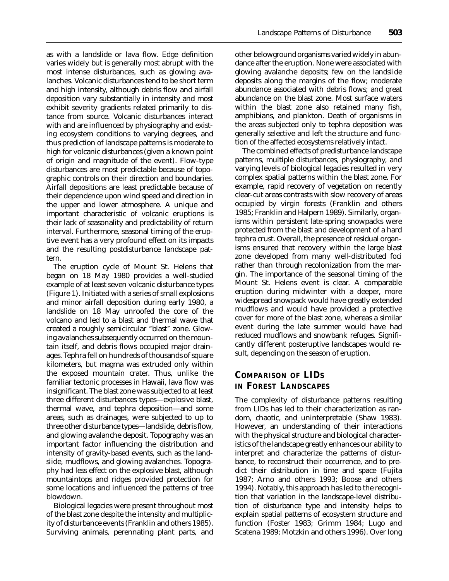as with a landslide or lava flow. Edge definition varies widely but is generally most abrupt with the most intense disturbances, such as glowing avalanches. Volcanic disturbances tend to be short term and high intensity, although debris flow and airfall deposition vary substantially in intensity and most exhibit severity gradients related primarily to distance from source. Volcanic disturbances interact with and are influenced by physiography and existing ecosystem conditions to varying degrees, and thus prediction of landscape patterns is moderate to high for volcanic disturbances (given a known point of origin and magnitude of the event). Flow-type disturbances are most predictable because of topographic controls on their direction and boundaries. Airfall depositions are least predictable because of their dependence upon wind speed and direction in the upper and lower atmosphere. A unique and important characteristic of volcanic eruptions is their lack of seasonality and predictability of return interval. Furthermore, seasonal timing of the eruptive event has a very profound effect on its impacts and the resulting postdisturbance landscape pattern.

The eruption cycle of Mount St. Helens that began on 18 May 1980 provides a well-studied example of at least seven volcanic disturbance types (Figure 1). Initiated with a series of small explosions and minor airfall deposition during early 1980, a landslide on 18 May unroofed the core of the volcano and led to a blast and thermal wave that created a roughly semicircular ''blast'' zone. Glowing avalanches subsequently occurred on the mountain itself, and debris flows occupied major drainages. Tephra fell on hundreds of thousands of square kilometers, but magma was extruded only within the exposed mountain crater. Thus, unlike the familiar tectonic processes in Hawaii, lava flow was insignificant. The blast zone was subjected to at least three different disturbances types—explosive blast, thermal wave, and tephra deposition—and some areas, such as drainages, were subjected to up to three other disturbance types—landslide, debris flow, and glowing avalanche deposit. Topography was an important factor influencing the distribution and intensity of gravity-based events, such as the landslide, mudflows, and glowing avalanches. Topography had less effect on the explosive blast, although mountaintops and ridges provided protection for some locations and influenced the patterns of tree blowdown.

Biological legacies were present throughout most of the blast zone despite the intensity and multiplicity of disturbance events (Franklin and others 1985). Surviving animals, perennating plant parts, and other belowground organisms varied widely in abundance after the eruption. None were associated with glowing avalanche deposits; few on the landslide deposits along the margins of the flow; moderate abundance associated with debris flows; and great abundance on the blast zone. Most surface waters within the blast zone also retained many fish, amphibians, and plankton. Death of organisms in the areas subjected only to tephra deposition was generally selective and left the structure and function of the affected ecosystems relatively intact.

The combined effects of predisturbance landscape patterns, multiple disturbances, physiography, and varying levels of biological legacies resulted in very complex spatial patterns within the blast zone. For example, rapid recovery of vegetation on recently clear-cut areas contrasts with slow recovery of areas occupied by virgin forests (Franklin and others 1985; Franklin and Halpern 1989). Similarly, organisms within persistent late-spring snowpacks were protected from the blast and development of a hard tephra crust. Overall, the presence of residual organisms ensured that recovery within the large blast zone developed from many well-distributed foci rather than through recolonization from the margin. The importance of the seasonal timing of the Mount St. Helens event is clear. A comparable eruption during midwinter with a deeper, more widespread snowpack would have greatly extended mudflows and would have provided a protective cover for more of the blast zone, whereas a similar event during the late summer would have had reduced mudflows and snowbank refuges. Significantly different posteruptive landscapes would result, depending on the season of eruption.

## **COMPARISON OF LIDS IN FOREST LANDSCAPES**

The complexity of disturbance patterns resulting from LIDs has led to their characterization as random, chaotic, and uninterpretable (Shaw 1983). However, an understanding of their interactions with the physical structure and biological characteristics of the landscape greatly enhances our ability to interpret and characterize the patterns of disturbance, to reconstruct their occurrence, and to predict their distribution in time and space (Fujita 1987; Arno and others 1993; Boose and others 1994). Notably, this approach has led to the recognition that variation in the landscape-level distribution of disturbance type and intensity helps to explain spatial patterns of ecosystem structure and function (Foster 1983; Grimm 1984; Lugo and Scatena 1989; Motzkin and others 1996). Over long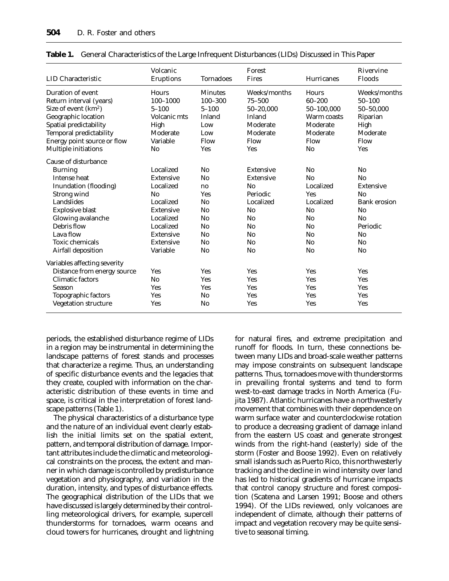| <b>LID Characteristic</b>      | <b>Volcanic</b><br><b>Eruptions</b> | <b>Tornadoes</b> | <b>Forest</b><br><b>Fires</b> | <b>Hurricanes</b> | <b>Rivervine</b><br>Floods |
|--------------------------------|-------------------------------------|------------------|-------------------------------|-------------------|----------------------------|
| Duration of event              | <b>Hours</b>                        | <b>Minutes</b>   | Weeks/months                  | <b>Hours</b>      | Weeks/months               |
| Return interval (years)        | 100-1000                            | 100-300          | 75-500                        | 60-200            | $50 - 100$                 |
| Size of event $(km^2)$         | $5 - 100$                           | $5 - 100$        | 50-20,000                     | 50-100,000        | 50-50,000                  |
| Geographic location            | Volcanic mts                        | Inland           | Inland                        | Warm coasts       | Riparian                   |
| Spatial predictability         | High                                | Low              | Moderate                      | Moderate          | High                       |
| <b>Temporal predictability</b> | Moderate                            | Low              | Moderate                      | Moderate          | Moderate                   |
| Energy point source or flow    | Variable                            | Flow             | Flow                          | Flow              | Flow                       |
| Multiple initiations           | N <sub>o</sub>                      | Yes              | Yes                           | N <sub>o</sub>    | Yes                        |
| Cause of disturbance           |                                     |                  |                               |                   |                            |
| <b>Burning</b>                 | Localized                           | N <sub>o</sub>   | <b>Extensive</b>              | N <sub>o</sub>    | N <sub>o</sub>             |
| <b>Intense heat</b>            | <b>Extensive</b>                    | N <sub>0</sub>   | <b>Extensive</b>              | N <sub>0</sub>    | N <sub>o</sub>             |
| Inundation (flooding)          | Localized                           | no               | N <sub>o</sub>                | Localized         | <b>Extensive</b>           |
| Strong wind                    | N <sub>o</sub>                      | Yes              | Periodic                      | Yes               | N <sub>o</sub>             |
| Landslides                     | Localized                           | N <sub>o</sub>   | Localized                     | Localized         | <b>Bank</b> erosion        |
| <b>Explosive blast</b>         | Extensive                           | No               | N <sub>o</sub>                | N <sub>0</sub>    | No                         |
| Glowing avalanche              | Localized                           | No               | N <sub>o</sub>                | N <sub>o</sub>    | N <sub>o</sub>             |
| Debris flow                    | Localized                           | N <sub>o</sub>   | N <sub>o</sub>                | N <sub>0</sub>    | Periodic                   |
| Lava flow                      | Extensive                           | N <sub>o</sub>   | N <sub>o</sub>                | N <sub>0</sub>    | N <sub>0</sub>             |
| <b>Toxic chemicals</b>         | Extensive                           | N <sub>0</sub>   | N <sub>o</sub>                | N <sub>o</sub>    | N <sub>0</sub>             |
| Airfall deposition             | Variable                            | N <sub>o</sub>   | No                            | N <sub>0</sub>    | N <sub>0</sub>             |
| Variables affecting severity   |                                     |                  |                               |                   |                            |
| Distance from energy source    | Yes                                 | Yes              | Yes                           | Yes               | Yes                        |
| Climatic factors               | N <sub>0</sub>                      | Yes              | <b>Yes</b>                    | <b>Yes</b>        | <b>Yes</b>                 |
| Season                         | Yes                                 | Yes              | Yes                           | <b>Yes</b>        | Yes                        |
| Topographic factors            | Yes                                 | N <sub>o</sub>   | Yes                           | <b>Yes</b>        | Yes                        |
| Vegetation structure           | <b>Yes</b>                          | N <sub>0</sub>   | Yes                           | <b>Yes</b>        | Yes                        |

**Table 1.** General Characteristics of the Large Infrequent Disturbances (LIDs) Discussed in This Paper

periods, the established disturbance regime of LIDs in a region may be instrumental in determining the landscape patterns of forest stands and processes that characterize a regime. Thus, an understanding of specific disturbance events and the legacies that they create, coupled with information on the characteristic distribution of these events in time and space, is critical in the interpretation of forest landscape patterns (Table 1).

The physical characteristics of a disturbance type and the nature of an individual event clearly establish the initial limits set on the spatial extent, pattern, and temporal distribution of damage. Important attributes include the climatic and meteorological constraints on the process, the extent and manner in which damage is controlled by predisturbance vegetation and physiography, and variation in the duration, intensity, and types of disturbance effects. The geographical distribution of the LIDs that we have discussed is largely determined by their controlling meteorological drivers, for example, supercell thunderstorms for tornadoes, warm oceans and cloud towers for hurricanes, drought and lightning

for natural fires, and extreme precipitation and runoff for floods. In turn, these connections between many LIDs and broad-scale weather patterns may impose constraints on subsequent landscape patterns. Thus, tornadoes move with thunderstorms in prevailing frontal systems and tend to form west-to-east damage tracks in North America (Fujita 1987). Atlantic hurricanes have a northwesterly movement that combines with their dependence on warm surface water and counterclockwise rotation to produce a decreasing gradient of damage inland from the eastern US coast and generate strongest winds from the right-hand (easterly) side of the storm (Foster and Boose 1992). Even on relatively small islands such as Puerto Rico, this northwesterly tracking and the decline in wind intensity over land has led to historical gradients of hurricane impacts that control canopy structure and forest composition (Scatena and Larsen 1991; Boose and others 1994). Of the LIDs reviewed, only volcanoes are independent of climate, although their patterns of impact and vegetation recovery may be quite sensitive to seasonal timing.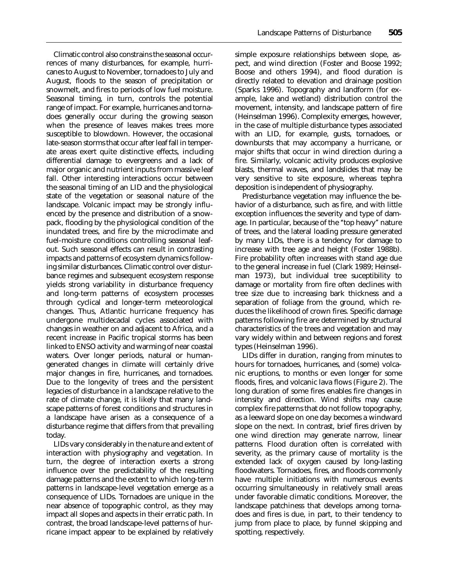Climatic control also constrains the seasonal occurrences of many disturbances, for example, hurricanes to August to November, tornadoes to July and August, floods to the season of precipitation or snowmelt, and fires to periods of low fuel moisture. Seasonal timing, in turn, controls the potential range of impact. For example, hurricanes and tornadoes generally occur during the growing season when the presence of leaves makes trees more susceptible to blowdown. However, the occasional late-season storms that occur after leaf fall in temperate areas exert quite distinctive effects, including differential damage to evergreens and a lack of major organic and nutrient inputs from massive leaf fall. Other interesting interactions occur between the seasonal timing of an LID and the physiological state of the vegetation or seasonal nature of the landscape. Volcanic impact may be strongly influenced by the presence and distribution of a snowpack, flooding by the physiological condition of the inundated trees, and fire by the microclimate and fuel-moisture conditions controlling seasonal leafout. Such seasonal effects can result in contrasting impacts and patterns of ecosystem dynamics following similar disturbances. Climatic control over disturbance regimes and subsequent ecosystem response yields strong variability in disturbance frequency and long-term patterns of ecosystem processes through cyclical and longer-term meteorological changes. Thus, Atlantic hurricane frequency has undergone multidecadal cycles associated with changes in weather on and adjacent to Africa, and a recent increase in Pacific tropical storms has been linked to ENSO activity and warming of near coastal waters. Over longer periods, natural or humangenerated changes in climate will certainly drive major changes in fire, hurricanes, and tornadoes. Due to the longevity of trees and the persistent legacies of disturbance in a landscape relative to the rate of climate change, it is likely that many landscape patterns of forest conditions and structures in a landscape have arisen as a consequence of a disturbance regime that differs from that prevailing today.

LIDs vary considerably in the nature and extent of interaction with physiography and vegetation. In turn, the degree of interaction exerts a strong influence over the predictability of the resulting damage patterns and the extent to which long-term patterns in landscape-level vegetation emerge as a consequence of LIDs. Tornadoes are unique in the near absence of topographic control, as they may impact all slopes and aspects in their erratic path. In contrast, the broad landscape-level patterns of hurricane impact appear to be explained by relatively

simple exposure relationships between slope, aspect, and wind direction (Foster and Boose 1992; Boose and others 1994), and flood duration is directly related to elevation and drainage position (Sparks 1996). Topography and landform (for example, lake and wetland) distribution control the movement, intensity, and landscape pattern of fire (Heinselman 1996). Complexity emerges, however, in the case of multiple disturbance types associated with an LID, for example, gusts, tornadoes, or downbursts that may accompany a hurricane, or major shifts that occur in wind direction during a fire. Similarly, volcanic activity produces explosive blasts, thermal waves, and landslides that may be very sensitive to site exposure, whereas tephra deposition is independent of physiography.

Predisturbance vegetation may influence the behavior of a disturbance, such as fire, and with little exception influences the severity and type of damage. In particular, because of the ''top heavy'' nature of trees, and the lateral loading pressure generated by many LIDs, there is a tendency for damage to increase with tree age and height (Foster 1988b). Fire probability often increases with stand age due to the general increase in fuel (Clark 1989; Heinselman 1973), but individual tree suceptibility to damage or mortality from fire often declines with tree size due to increasing bark thickness and a separation of foliage from the ground, which reduces the likelihood of crown fires. Specific damage patterns following fire are determined by structural characteristics of the trees and vegetation and may vary widely within and between regions and forest types (Heinselman 1996).

LIDs differ in duration, ranging from minutes to hours for tornadoes, hurricanes, and (some) volcanic eruptions, to months or even longer for some floods, fires, and volcanic lava flows (Figure 2). The long duration of some fires enables fire changes in intensity and direction. Wind shifts may cause complex fire patterns that do not follow topography, as a leeward slope on one day becomes a windward slope on the next. In contrast, brief fires driven by one wind direction may generate narrow, linear patterns. Flood duration often is correlated with severity, as the primary cause of mortality is the extended lack of oxygen caused by long-lasting floodwaters. Tornadoes, fires, and floods commonly have multiple initiations with numerous events occurring simultaneously in relatively small areas under favorable climatic conditions. Moreover, the landscape patchiness that develops among tornadoes and fires is due, in part, to their tendency to jump from place to place, by funnel skipping and spotting, respectively.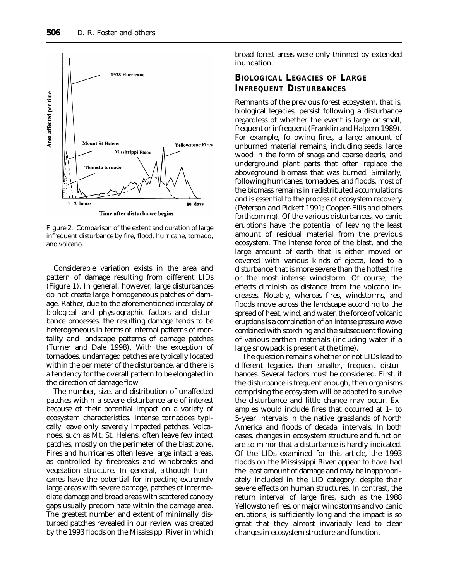

Figure 2. Comparison of the extent and duration of large infrequent disturbance by fire, flood, hurricane, tornado, and volcano.

Considerable variation exists in the area and pattern of damage resulting from different LIDs (Figure 1). In general, however, large disturbances do not create large homogeneous patches of damage. Rather, due to the aforementioned interplay of biological and physiographic factors and disturbance processes, the resulting damage tends to be heterogeneous in terms of internal patterns of mortality and landscape patterns of damage patches (Turner and Dale 1998). With the exception of tornadoes, undamaged patches are typically located within the perimeter of the disturbance, and there is a tendency for the overall pattern to be elongated in the direction of damage flow.

The number, size, and distribution of unaffected patches within a severe disturbance are of interest because of their potential impact on a variety of ecosystem characteristics. Intense tornadoes typically leave only severely impacted patches. Volcanoes, such as Mt. St. Helens, often leave few intact patches, mostly on the perimeter of the blast zone. Fires and hurricanes often leave large intact areas, as controlled by firebreaks and windbreaks and vegetation structure. In general, although hurricanes have the potential for impacting extremely large areas with severe damage, patches of intermediate damage and broad areas with scattered canopy gaps usually predominate within the damage area. The greatest number and extent of minimally disturbed patches revealed in our review was created by the 1993 floods on the Mississippi River in which

broad forest areas were only thinned by extended inundation.

## **BIOLOGICAL LEGACIES OF LARGE INFREQUENT DISTURBANCES**

Remnants of the previous forest ecosystem, that is, biological legacies, persist following a disturbance regardless of whether the event is large or small, frequent or infrequent (Franklin and Halpern 1989). For example, following fires, a large amount of unburned material remains, including seeds, large wood in the form of snags and coarse debris, and underground plant parts that often replace the aboveground biomass that was burned. Similarly, following hurricanes, tornadoes, and floods, most of the biomass remains in redistributed accumulations and is essential to the process of ecosystem recovery (Peterson and Pickett 1991; Cooper-Ellis and others forthcoming). Of the various disturbances, volcanic eruptions have the potential of leaving the least amount of residual material from the previous ecosystem. The intense force of the blast, and the large amount of earth that is either moved or covered with various kinds of ejecta, lead to a disturbance that is more severe than the hottest fire or the most intense windstorm. Of course, the effects diminish as distance from the volcano increases. Notably, whereas fires, windstorms, and floods move across the landscape according to the spread of heat, wind, and water, the force of volcanic eruptions is a combination of an intense pressure wave combined with scorching and the subsequent flowing of various earthen materials (including water if a large snowpack is present at the time).

The question remains whether or not LIDs lead to different legacies than smaller, frequent disturbances. Several factors must be considered. First, if the disturbance is frequent enough, then organisms comprising the ecosystem will be adapted to survive the disturbance and little change may occur. Examples would include fires that occurred at 1- to 5-year intervals in the native grasslands of North America and floods of decadal intervals. In both cases, changes in ecosystem structure and function are so minor that a disturbance is hardly indicated. Of the LIDs examined for this article, the 1993 floods on the Mississippi River appear to have had the least amount of damage and may be inappropriately included in the LID category, despite their severe effects on human structures. In contrast, the return interval of large fires, such as the 1988 Yellowstone fires, or major windstorms and volcanic eruptions, is sufficiently long and the impact is so great that they almost invariably lead to clear changes in ecosystem structure and function.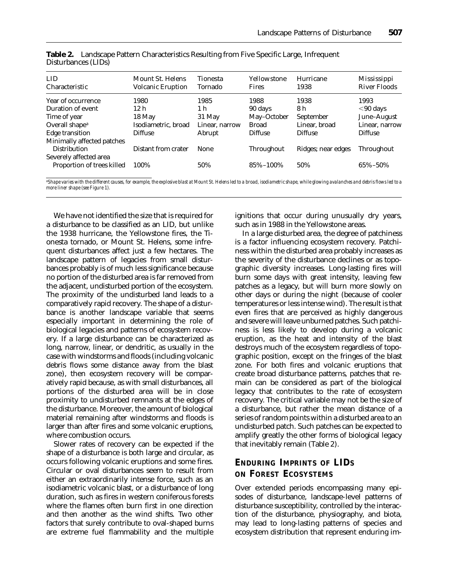| <b>LID</b><br><b>Characteristic</b>               | Mount St. Helens<br><b>Volcanic Eruption</b> | <b>Tionesta</b><br>Tornado | Yellowstone<br><b>Fires</b> | <b>Hurricane</b><br>1938 | <b>Mississippi</b><br><b>River Floods</b> |
|---------------------------------------------------|----------------------------------------------|----------------------------|-----------------------------|--------------------------|-------------------------------------------|
| Year of occurrence                                | 1980                                         | 1985                       | 1988                        | 1938                     | 1993                                      |
| Duration of event                                 | 12 h                                         | 1 h                        | 90 days                     | 8 h                      | $<$ 90 days                               |
| Time of year                                      | 18 May                                       | 31 May                     | May-October                 | September                | June-August                               |
| Overall shape <sup>a</sup>                        | Isodiametric, broad                          | Linear, narrow             | Broad                       | Linear, broad            | Linear, narrow                            |
| Edge transition                                   | <b>Diffuse</b>                               | Abrupt                     | <b>Diffuse</b>              | <b>Diffuse</b>           | <b>Diffuse</b>                            |
| Minimally affected patches<br><b>Distribution</b> | Distant from crater                          | <b>None</b>                | Throughout                  | Ridges; near edges       | Throughout                                |
| Severely affected area                            |                                              |                            |                             |                          |                                           |
| Proportion of trees killed                        | 100%                                         | 50%                        | 85%-100%                    | 50%                      | 65%-50%                                   |

| <b>Table 2.</b> Landscape Pattern Characteristics Resulting from Five Specific Large, Infrequent |  |  |  |
|--------------------------------------------------------------------------------------------------|--|--|--|
| Disturbances (LIDs)                                                                              |  |  |  |

*aShape varies with the different causes, for example, the explosive blast at Mount St. Helens led to a broad, isodiametric shape, while glowing avalanches and debris flows led to a more liner shape (see Figure 1).*

We have not identified the size that is required for a disturbance to be classified as an LID, but unlike the 1938 hurricane, the Yellowstone fires, the Tionesta tornado, or Mount St. Helens, some infrequent disturbances affect just a few hectares. The landscape pattern of legacies from small disturbances probably is of much less significance because no portion of the disturbed area is far removed from the adjacent, undisturbed portion of the ecosystem. The proximity of the undisturbed land leads to a comparatively rapid recovery. The shape of a disturbance is another landscape variable that seems especially important in determining the role of biological legacies and patterns of ecosystem recovery. If a large disturbance can be characterized as long, narrow, linear, or dendritic, as usually in the case with windstorms and floods (including volcanic debris flows some distance away from the blast zone), then ecosystem recovery will be comparatively rapid because, as with small disturbances, all portions of the disturbed area will be in close proximity to undisturbed remnants at the edges of the disturbance. Moreover, the amount of biological material remaining after windstorms and floods is larger than after fires and some volcanic eruptions, where combustion occurs.

Slower rates of recovery can be expected if the shape of a disturbance is both large and circular, as occurs following volcanic eruptions and some fires. Circular or oval disturbances seem to result from either an extraordinarily intense force, such as an isodiametric volcanic blast, or a disturbance of long duration, such as fires in western coniferous forests where the flames often burn first in one direction and then another as the wind shifts. Two other factors that surely contribute to oval-shaped burns are extreme fuel flammability and the multiple

ignitions that occur during unusually dry years, such as in 1988 in the Yellowstone areas.

In a large disturbed area, the degree of patchiness is a factor influencing ecosystem recovery. Patchiness within the disturbed area probably increases as the severity of the disturbance declines or as topographic diversity increases. Long-lasting fires will burn some days with great intensity, leaving few patches as a legacy, but will burn more slowly on other days or during the night (because of cooler temperatures or less intense wind). The result is that even fires that are perceived as highly dangerous and severe will leave unburned patches. Such patchiness is less likely to develop during a volcanic eruption, as the heat and intensity of the blast destroys much of the ecosystem regardless of topographic position, except on the fringes of the blast zone. For both fires and volcanic eruptions that create broad disturbance patterns, patches that remain can be considered as part of the biological legacy that contributes to the rate of ecosystem recovery. The critical variable may not be the size of a disturbance, but rather the mean distance of a series of random points within a disturbed area to an undisturbed patch. Such patches can be expected to amplify greatly the other forms of biological legacy that inevitably remain (Table 2).

## **ENDURING IMPRINTS OF LIDS ON FOREST ECOSYSTEMS**

Over extended periods encompassing many episodes of disturbance, landscape-level patterns of disturbance susceptibility, controlled by the interaction of the disturbance, physiography, and biota, may lead to long-lasting patterns of species and ecosystem distribution that represent enduring im-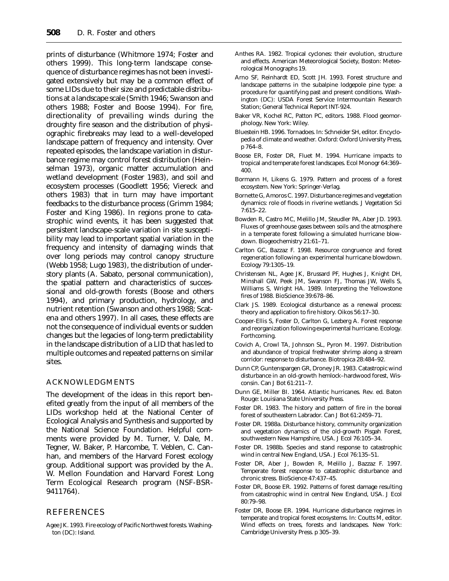prints of disturbance (Whitmore 1974; Foster and others 1999). This long-term landscape consequence of disturbance regimes has not been investigated extensively but may be a common effect of some LIDs due to their size and predictable distributions at a landscape scale (Smith 1946; Swanson and others 1988; Foster and Boose 1994). For fire, directionality of prevailing winds during the droughty fire season and the distribution of physiographic firebreaks may lead to a well-developed landscape pattern of frequency and intensity. Over repeated episodes, the landscape variation in disturbance regime may control forest distribution (Heinselman 1973), organic matter accumulation and wetland development (Foster 1983), and soil and ecosystem processes (Goodlett 1956; Viereck and others 1983) that in turn may have important feedbacks to the disturbance process (Grimm 1984; Foster and King 1986). In regions prone to catastrophic wind events, it has been suggested that persistent landscape-scale variation in site susceptibility may lead to important spatial variation in the frequency and intensity of damaging winds that over long periods may control canopy structure (Webb 1958; Lugo 1983), the distribution of understory plants (A. Sabato, personal communication), the spatial pattern and characteristics of successional and old-growth forests (Boose and others 1994), and primary production, hydrology, and nutrient retention (Swanson and others 1988; Scatena and others 1997). In all cases, these effects are not the consequence of individual events or sudden changes but the legacies of long-term predictability in the landscape distribution of a LID that has led to multiple outcomes and repeated patterns on similar sites.

#### ACKNOWLEDGMENTS

The development of the ideas in this report benefited greatly from the input of all members of the LIDs workshop held at the National Center of Ecological Analysis and Synthesis and supported by the National Science Foundation. Helpful comments were provided by M. Turner, V. Dale, M. Tegner, W. Baker, P. Harcombe, T. Veblen, C. Canhan, and members of the Harvard Forest ecology group. Additional support was provided by the A. W. Mellon Foundation and Harvard Forest Long Term Ecological Research program (NSF-BSR-9411764).

#### REFERENCES

Agee JK. 1993. Fire ecology of Pacific Northwest forests. Washington (DC): Island.

- Anthes RA. 1982. Tropical cyclones: their evolution, structure and effects. American Meteorological Society, Boston: Meteorological Monographs 19.
- Arno SF, Reinhardt ED, Scott JH. 1993. Forest structure and landscape patterns in the subalpine lodgepole pine type: a procedure for quantifying past and present conditions. Washington (DC): USDA Forest Service Intermountain Research Station; General Technical Report INT-924.
- Baker VR, Kochel RC, Patton PC, editors. 1988. Flood geomorphology. New York: Wiley.
- Bluestein HB. 1996. Tornadoes. In: Schneider SH, editor. Encyclopedia of climate and weather. Oxford: Oxford University Press, p 764–8.
- Boose ER, Foster DR, Fluet M. 1994. Hurricane impacts to tropical and temperate forest landscapes. Ecol Monogr 64:369– 400.
- Bormann H, Likens G. 1979. Pattern and process of a forest ecosystem. New York: Springer-Verlag.
- Bornette G, Amoros C. 1997. Disturbance regimes and vegetation dynamics: role of floods in riverine wetlands. J Vegetation Sci 7:615–22.
- Bowden R, Castro MC, Melillo JM, Steudler PA, Aber JD. 1993. Fluxes of greenhouse gases between soils and the atmosphere in a temperate forest following a simulated hurricane blowdown. Biogeochemistry 21:61–71.
- Carlton GC, Bazzaz F. 1998. Resource congruence and forest regeneration following an experimental hurricane blowdown. Ecology 79:1305–19.
- Christensen NL, Agee JK, Brussard PF, Hughes J, Knight DH, Minshall GW, Peek JM, Swanson FJ, Thomas JW, Wells S, Williams S, Wright HA. 1989. Interpreting the Yellowstone fires of 1988. BioScience 39:678–86.
- Clark JS. 1989. Ecological disturbance as a renewal process: theory and application to fire history. Oikos 56:17–30.
- Cooper-Ellis S, Foster D, Carlton G, Lezberg A. Forest response and reorganization following experimental hurricane. Ecology. Forthcoming.
- Covich A, Crowl TA, Johnson SL, Pyron M. 1997. Distribution and abundance of tropical freshwater shrimp along a stream corridor: response to disturbance. Biotropica 28:484–92.
- Dunn CP, Guntenspargen GR, Droney JR. 1983. Catastropic wind disturbance in an old-growth hemlock–hardwood forest, Wisconsin. Can J Bot 61:211–7.
- Dunn GE, Miller BI. 1964. Atlantic hurricanes. Rev. ed. Baton Rouge: Louisiana State University Press.
- Foster DR. 1983. The history and pattern of fire in the boreal forest of southeastern Labrador. Can J Bot 61:2459–71.
- Foster DR. 1988a. Disturbance history, community organization and vegetation dynamics of the old-growth Pisgah Forest, southwestern New Hampshire, USA. J Ecol 76:105–34.
- Foster DR. 1988b. Species and stand response to catastrophic wind in central New England, USA. J Ecol 76:135–51.
- Foster DR, Aber J, Bowden R, Melillo J, Bazzaz F. 1997. Temperate forest response to catastrophic disturbance and chronic stress. BioScience 47:437–45.
- Foster DR, Boose ER. 1992. Patterns of forest damage resulting from catastrophic wind in central New England, USA. J Ecol 80:79–98.
- Foster DR, Boose ER. 1994. Hurricane disturbance regimes in temperate and tropical forest ecosystems. In: Coutts M, editor. Wind effects on trees, forests and landscapes. New York: Cambridge University Press. p 305–39.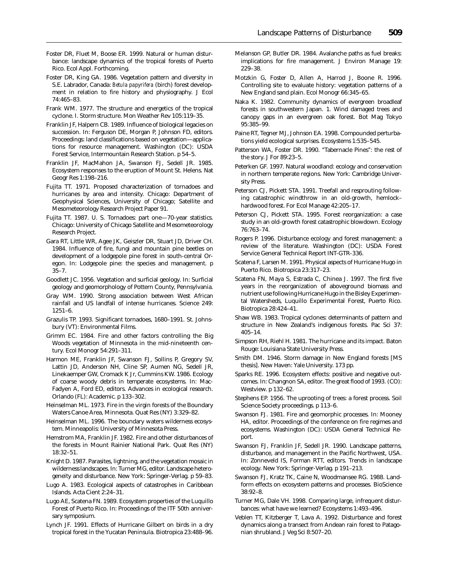- Foster DR, Fluet M, Boose ER. 1999. Natural or human disturbance: landscape dynamics of the tropical forests of Puerto Rico. Ecol Appl. Forthcoming.
- Foster DR, King GA. 1986. Vegetation pattern and diversity in S.E. Labrador, Canada: *Betula papyrifera* (birch) forest development in relation to fire history and physiography. J Ecol 74:465–83.
- Frank WM. 1977. The structure and energetics of the tropical cyclone. I. Storm structure. Mon Weather Rev 105:119–35.
- Franklin JF, Halpern CB. 1989. Influence of biological legacies on succession. In: Ferguson DE, Morgan P, Johnson FD, editors. Proceedings: land classifications based on vegetation—applications for resource management. Washington (DC): USDA Forest Service, Intermountain Research Station. p 54–5.
- Franklin JF, MacMahon JA, Swanson FJ, Sedell JR. 1985. Ecosystem responses to the eruption of Mount St. Helens. Nat Geogr Res 1:198–216.
- Fujita TT. 1971. Proposed characterization of tornadoes and hurricanes by area and intensity. Chicago: Department of Geophysical Sciences, University of Chicago; Satellite and Mesometeorology Research Project Paper 91.
- Fujita TT. 1987. U. S. Tornadoes: part one—70-year statistics. Chicago: University of Chicago Satellite and Mesometeorology Research Project.
- Gara RT, Little WR, Agee JK, Geiszler DR, Stuart JD, Driver CH. 1984. Influence of fire, fungi and mountain pine beetles on development of a lodgepole pine forest in south-central Oregon. In: Lodgepole pine: the species and management. p 35–7.
- Goodlett JC. 1956. Vegetation and surficial geology. In: Surficial geology and geomorphology of Pottern County, Pennsylvania.
- Gray WM. 1990. Strong association between West African rainfall and US landfall of intense hurricanes. Science 249: 1251–6.
- Grazulis TP. 1993. Significant tornadoes, 1680–1991. St. Johnsbury (VT): Environmental Films.
- Grimm EC. 1984. Fire and other factors controlling the Big Woods vegetation of Minnesota in the mid-nineteenth century. Ecol Monogr 54:291–311.
- Harmon ME, Franklin JF, Swanson FJ, Sollins P, Gregory SV, Lattin JD, Anderson NH, Cline SP, Aumen NG, Sedell JR, Linekaemper GW, Cromack K Jr, Cummins KW. 1986. Ecology of coarse woody debris in temperate ecosystems. In: Mac-Fadyen A, Ford ED, editors. Advances in ecological research. Orlando (FL): Academic. p 133–302.
- Heinselman ML. 1973. Fire in the virgin forests of the Boundary Waters Canoe Area, Minnesota. Quat Res (NY) 3:329–82.
- Heinselman ML. 1996. The boundary waters wilderness ecosystem. Minneapolis: University of Minnesota Press.
- Hemstrom MA, Franklin JF. 1982. Fire and other disturbances of the forests in Mount Rainier National Park. Quat Res (NY) 18:32–51.
- Knight D. 1987. Parasites, lightning, and the vegetation mosaic in wilderness landscapes. In: Turner MG, editor. Landscape heterogeneity and disturbance. New York: Springer-Verlag. p 59–83.
- Lugo A. 1983. Ecological aspects of catastrophes in Caribbean Islands. Acta Cient 2:24–31.
- Lugo AE, Scatena FN. 1989. Ecosystem properties of the Luquillo Forest of Puerto Rico. In: Proceedings of the ITF 50th anniversary symposium.
- Lynch JF. 1991. Effects of Hurricane Gilbert on birds in a dry tropical forest in the Yucatan Peninsula. Biotropica 23:488–96.
- Melanson GP, Butler DR. 1984. Avalanche paths as fuel breaks: implications for fire management. J Environ Manage 19: 229–38.
- Motzkin G, Foster D, Allen A, Harrod J, Boone R. 1996. Controlling site to evaluate history: vegetation patterns of a New England sand plain. Ecol Monogr 66:345–65.
- Naka K. 1982. Community dynamics of evergreen broadleaf forests in southwestern Japan. 1. Wind damaged trees and canopy gaps in an evergreen oak forest. Bot Mag Tokyo 95:385–99.
- Paine RT, Tegner MJ, Johnson EA. 1998. Compounded perturbations yield ecological surprises. Ecosystems 1:535–545.
- Patterson WA, Foster DR. 1990. "Tabernacle Pines": the rest of the story. J For 89:23–5.
- Peterken GF. 1997. Natural woodland: ecology and conservation in northern temperate regions. New York: Cambridge University Press.
- Peterson CJ, Pickett STA. 1991. Treefall and resprouting following catastrophic windthrow in an old-growth, hemlock– hardwood forest. For Ecol Manage 42:205–17.
- Peterson CJ, Pickett STA. 1995. Forest reorganization: a case study in an old-growth forest catastrophic blowdown. Ecology 76:763–74.
- Rogers P. 1996. Disturbance ecology and forest management: a review of the literature. Washington (DC): USDA Forest Service General Technical Report INT-GTR-336.
- Scatena F, Larsen M. 1991. Physical aspects of Hurricane Hugo in Puerto Rico. Biotropica 23:317–23.
- Scatena FN, Maya S, Estrada C, Chinea J. 1997. The first five years in the reorganization of aboveground biomass and nutrient use following Hurricane Hugo in the Bisley Experimental Watersheds, Luquillo Experimental Forest, Puerto Rico. Biotropica 28:424–41.
- Shaw WB. 1983. Tropical cyclones: determinants of pattern and structure in New Zealand's indigenous forests. Pac Sci 37: 405–14.
- Simpson RH, Riehl H. 1981. The hurricane and its impact. Baton Rouge: Louisiana State University Press.
- Smith DM. 1946. Storm damage in New England forests [MS thesis]. New Haven: Yale University. 173 pp.
- Sparks RE. 1996. Ecosystem effects: positive and negative outcomes. In: Changnon SA, editor. The great flood of 1993. (CO): Westview. p 132–62.
- Stephens EP. 1956. The uprooting of trees: a forest process. Soil Science Society proceedings. p 113–6.
- Swanson FJ. 1981. Fire and geomorphic processes. In: Mooney HA, editor. Proceedings of the conference on fire regimes and ecosystems. Washington (DC): USDA General Technical Report.
- Swanson FJ, Franklin JF, Sedell JR. 1990. Landscape patterns, disturbance, and management in the Pacific Northwest, USA. In: Zonneveld IS, Forman RTT, editors. Trends in landscape ecology. New York: Springer-Verlag. p 191–213.
- Swanson FJ, Kratz TK, Caine N, Woodmansee RG. 1988. Landform effects on ecosystem patterns and processes. BioScience 38:92–8.
- Turner MG, Dale VH. 1998. Comparing large, infrequent disturbances: what have we learned? Ecosystems 1:493–496.
- Veblen TT, Kitzberger T, Lava A. 1992. Disturbance and forest dynamics along a transect from Andean rain forest to Patagonian shrubland. J Veg Sci 8:507–20.